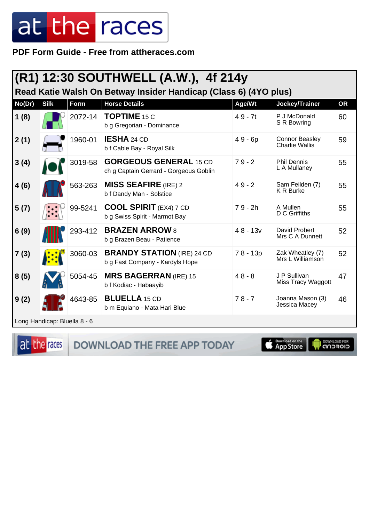PDF Form Guide - Free from attheraces.com

|                              |             |         | (R1) 12:30 SOUTHWELL (A.W.), 4f 214y                                    |            |                                                |           |
|------------------------------|-------------|---------|-------------------------------------------------------------------------|------------|------------------------------------------------|-----------|
|                              |             |         | Read Katie Walsh On Betway Insider Handicap (Class 6) (4YO plus)        |            |                                                |           |
| No(Dr)                       | <b>Silk</b> | Form    | <b>Horse Details</b>                                                    | Age/Wt     | Jockey/Trainer                                 | <b>OR</b> |
| 1(8)                         |             | 2072-14 | <b>TOPTIME 15 C</b><br>b g Gregorian - Dominance                        | $49 - 7t$  | P J McDonald<br>S R Bowring                    | 60        |
| 2(1)                         |             | 1960-01 | <b>IESHA</b> 24 CD<br>b f Cable Bay - Royal Silk                        | $49 - 6p$  | <b>Connor Beasley</b><br><b>Charlie Wallis</b> | 59        |
| 3(4)                         |             | 3019-58 | <b>GORGEOUS GENERAL 15 CD</b><br>ch g Captain Gerrard - Gorgeous Goblin | $79 - 2$   | <b>Phil Dennis</b><br>L A Mullaney             | 55        |
| 4(6)                         |             | 563-263 | <b>MISS SEAFIRE</b> (IRE) 2<br>b f Dandy Man - Solstice                 | $49 - 2$   | Sam Feilden (7)<br><b>K R Burke</b>            | 55        |
| 5(7)                         |             | 99-5241 | <b>COOL SPIRIT</b> (EX4) 7 CD<br>b g Swiss Spirit - Marmot Bay          | $79 - 2h$  | A Mullen<br>D C Griffiths                      | 55        |
| 6(9)                         |             | 293-412 | <b>BRAZEN ARROW 8</b><br>b g Brazen Beau - Patience                     | $48 - 13v$ | David Probert<br>Mrs C A Dunnett               | 52        |
| 7(3)                         |             | 3060-03 | <b>BRANDY STATION</b> (IRE) 24 CD<br>b g Fast Company - Kardyls Hope    | 78 - 13p   | Zak Wheatley (7)<br>Mrs L Williamson           | 52        |
| 8(5)                         |             | 5054-45 | <b>MRS BAGERRAN</b> (IRE) 15<br>b f Kodiac - Habaayib                   | $48 - 8$   | J P Sullivan<br>Miss Tracy Waggott             | 47        |
| 9(2)                         |             | 4643-85 | <b>BLUELLA</b> 15 CD<br>b m Equiano - Mata Hari Blue                    | $78 - 7$   | Joanna Mason (3)<br>Jessica Macey              | 46        |
| Long Handicap: Bluella 8 - 6 |             |         |                                                                         |            |                                                |           |



DOWNLOAD THE FREE APP TODAY

App Store

**I DOWNLOAD FOR**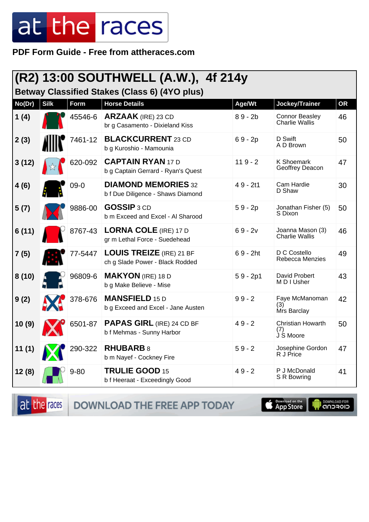PDF Form Guide - Free from attheraces.com

| (R2) 13:00 SOUTHWELL (A.W.), 4f 214y<br><b>Betway Classified Stakes (Class 6) (4YO plus)</b> |             |          |                                                                    |            |                                                |           |
|----------------------------------------------------------------------------------------------|-------------|----------|--------------------------------------------------------------------|------------|------------------------------------------------|-----------|
| No(Dr)                                                                                       | <b>Silk</b> | Form     | <b>Horse Details</b>                                               | Age/Wt     | Jockey/Trainer                                 | <b>OR</b> |
| 1(4)                                                                                         |             | 45546-6  | <b>ARZAAK</b> (IRE) 23 CD<br>br g Casamento - Dixieland Kiss       | $89 - 2b$  | <b>Connor Beasley</b><br><b>Charlie Wallis</b> | 46        |
| 2(3)                                                                                         |             | 7461-12  | <b>BLACKCURRENT</b> 23 CD<br>b g Kuroshio - Mamounia               | $69 - 2p$  | D Swift<br>A D Brown                           | 50        |
| 3(12)                                                                                        |             | 620-092  | <b>CAPTAIN RYAN 17 D</b><br>b g Captain Gerrard - Ryan's Quest     | $119 - 2$  | K Shoemark<br>Geoffrey Deacon                  | 47        |
| 4(6)                                                                                         |             | $09-0$   | <b>DIAMOND MEMORIES 32</b><br>b f Due Diligence - Shaws Diamond    | $49 - 2t1$ | Cam Hardie<br>D Shaw                           | 30        |
| 5(7)                                                                                         |             | 9886-00  | <b>GOSSIP 3 CD</b><br>b m Exceed and Excel - Al Sharood            | $59 - 2p$  | Jonathan Fisher (5)<br>S Dixon                 | 50        |
| 6(11)                                                                                        |             | 8767-43  | <b>LORNA COLE (IRE) 17 D</b><br>gr m Lethal Force - Suedehead      | $69 - 2v$  | Joanna Mason (3)<br><b>Charlie Wallis</b>      | 46        |
| 7(5)                                                                                         |             | 77-5447  | <b>LOUIS TREIZE</b> (IRE) 21 BF<br>ch g Slade Power - Black Rodded | $69 - 2ht$ | D C Costello<br>Rebecca Menzies                | 49        |
| 8(10)                                                                                        |             | 96809-6  | <b>MAKYON</b> (IRE) 18 D<br>b g Make Believe - Mise                | $59 - 2p1$ | David Probert<br>M D I Usher                   | 43        |
| 9(2)                                                                                         |             | 378-676  | <b>MANSFIELD 15 D</b><br>b g Exceed and Excel - Jane Austen        | $99 - 2$   | Faye McManoman<br>(3)<br>Mrs Barclay           | 42        |
| 10(9)                                                                                        |             | 6501-87  | <b>PAPAS GIRL (IRE) 24 CD BF</b><br>b f Mehmas - Sunny Harbor      | $49 - 2$   | <b>Christian Howarth</b><br>(7)<br>J S Moore   | 50        |
| 11(1)                                                                                        |             | 290-322  | <b>RHUBARB 8</b><br>b m Nayef - Cockney Fire                       | $59 - 2$   | Josephine Gordon<br>R J Price                  | 47        |
| 12(8)                                                                                        |             | $9 - 80$ | TRULIE GOOD 15<br>b f Heeraat - Exceedingly Good                   | $49 - 2$   | P J McDonald<br>S R Bowring                    | 41        |

at the races DOWNLOAD THE FREE APP TODAY

**Completed on the** 

**I DOWNLOAD FOR**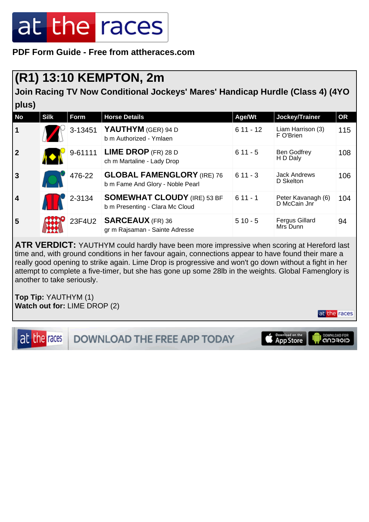**PDF Form Guide - Free from attheraces.com**

#### **(R1) 13:10 KEMPTON, 2m**

**Join Racing TV Now Conditional Jockeys' Mares' Handicap Hurdle (Class 4) (4YO plus)**

| <b>No</b>               | <b>Silk</b> | <b>Form</b> | <b>Horse Details</b>                                                  | Age/Wt     | Jockey/Trainer                     | <b>OR</b> |
|-------------------------|-------------|-------------|-----------------------------------------------------------------------|------------|------------------------------------|-----------|
| $\mathbf 1$             |             | 3-13451     | YAUTHYM (GER) 94 D<br>b m Authorized - Ymlaen                         | $611 - 12$ | Liam Harrison (3)<br>F O'Brien     | 115       |
| $\overline{2}$          |             | 9-61111     | <b>LIME DROP</b> (FR) 28 D<br>ch m Martaline - Lady Drop              | $611 - 5$  | Ben Godfrey<br>H D Daly            | 108       |
| $\overline{3}$          |             | 476-22      | <b>GLOBAL FAMENGLORY (IRE) 76</b><br>b m Fame And Glory - Noble Pearl | $611 - 3$  | <b>Jack Andrews</b><br>D Skelton   | 106       |
| $\overline{\mathbf{4}}$ |             | 2-3134      | <b>SOMEWHAT CLOUDY (IRE) 53 BF</b><br>b m Presenting - Clara Mc Cloud | $611 - 1$  | Peter Kavanagh (6)<br>D McCain Jnr | 104       |
| 5                       |             | 23F4U2      | <b>SARCEAUX</b> (FR) 36<br>gr m Rajsaman - Sainte Adresse             | $510 - 5$  | <b>Fergus Gillard</b><br>Mrs Dunn  | 94        |

**ATR VERDICT:** YAUTHYM could hardly have been more impressive when scoring at Hereford last time and, with ground conditions in her favour again, connections appear to have found their mare a really good opening to strike again. Lime Drop is progressive and won't go down without a fight in her attempt to complete a five-timer, but she has gone up some 28lb in the weights. Global Famenglory is another to take seriously.

**Top Tip:** YAUTHYM (1) **Watch out for:** LIME DROP (2)



at the races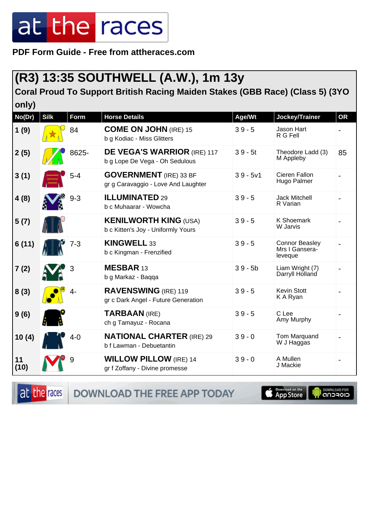**PDF Form Guide - Free from attheraces.com**

#### **(R3) 13:35 SOUTHWELL (A.W.), 1m 13y**

**Coral Proud To Support British Racing Maiden Stakes (GBB Race) (Class 5) (3YO only)**

| No(Dr)     | <b>Silk</b> | <b>Form</b> | <b>Horse Details</b>                                                 | Age/Wt     | Jockey/Trainer                                     | <b>OR</b> |
|------------|-------------|-------------|----------------------------------------------------------------------|------------|----------------------------------------------------|-----------|
| 1(9)       |             | 84          | <b>COME ON JOHN (IRE) 15</b><br>b g Kodiac - Miss Glitters           | $39 - 5$   | Jason Hart<br>R G Fell                             |           |
| 2(5)       |             | 8625-       | <b>DE VEGA'S WARRIOR (IRE) 117</b><br>b g Lope De Vega - Oh Sedulous | $39 - 5t$  | Theodore Ladd (3)<br>M Appleby                     | 85        |
| 3(1)       |             | $5 - 4$     | <b>GOVERNMENT</b> (IRE) 33 BF<br>gr g Caravaggio - Love And Laughter | $39 - 5v1$ | Cieren Fallon<br>Hugo Palmer                       |           |
| 4(8)       |             | $9 - 3$     | <b>ILLUMINATED 29</b><br>b c Muhaarar - Wowcha                       | $39 - 5$   | Jack Mitchell<br>R Varian                          |           |
| 5(7)       |             |             | <b>KENILWORTH KING (USA)</b><br>b c Kitten's Joy - Uniformly Yours   | $39 - 5$   | <b>K Shoemark</b><br>W Jarvis                      |           |
| 6(11)      |             | $7 - 3$     | <b>KINGWELL 33</b><br>b c Kingman - Frenzified                       | $39 - 5$   | <b>Connor Beasley</b><br>Mrs I Gansera-<br>leveque |           |
| 7(2)       |             | 3           | MESBAR 13<br>b g Markaz - Baqqa                                      | $39 - 5b$  | Liam Wright (7)<br>Darryll Holland                 |           |
| 8(3)       |             | $4-$        | <b>RAVENSWING</b> (IRE) 119<br>gr c Dark Angel - Future Generation   | $39 - 5$   | <b>Kevin Stott</b><br>K A Ryan                     |           |
| 9(6)       |             |             | <b>TARBAAN (IRE)</b><br>ch g Tamayuz - Rocana                        | $39 - 5$   | C Lee<br>Amy Murphy                                |           |
| 10(4)      |             | 4-0         | <b>NATIONAL CHARTER (IRE) 29</b><br>b f Lawman - Debuetantin         | $39 - 0$   | Tom Marquand<br>W J Haggas                         |           |
| 11<br>(10) |             | 9           | <b>WILLOW PILLOW</b> (IRE) 14<br>gr f Zoffany - Divine promesse      | $39 - 0$   | A Mullen<br>J Mackie                               |           |

at the races

DOWNLOAD THE FREE APP TODAY